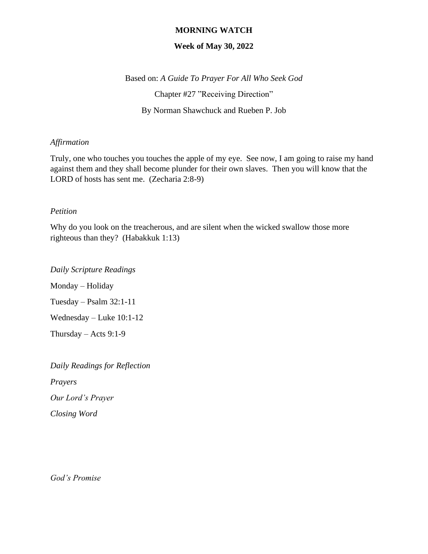## **MORNING WATCH**

## **Week of May 30, 2022**

Based on: *A Guide To Prayer For All Who Seek God* Chapter #27 "Receiving Direction" By Norman Shawchuck and Rueben P. Job

## *Affirmation*

Truly, one who touches you touches the apple of my eye. See now, I am going to raise my hand against them and they shall become plunder for their own slaves. Then you will know that the LORD of hosts has sent me. (Zecharia 2:8-9)

#### *Petition*

Why do you look on the treacherous, and are silent when the wicked swallow those more righteous than they? (Habakkuk 1:13)

Monday – Holiday Tuesday – Psalm 32:1-11 Wednesday – Luke 10:1-12 Thursday – Acts  $9:1-9$ 

*Daily Scripture Readings*

*Daily Readings for Reflection Prayers Our Lord's Prayer Closing Word*

*God's Promise*